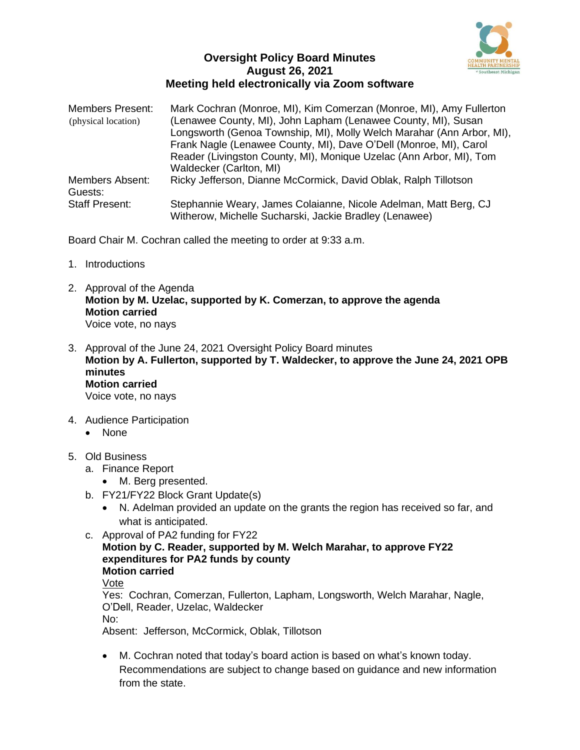

## **Oversight Policy Board Minutes August 26, 2021 Meeting held electronically via Zoom software**

| <b>Members Present:</b><br>(physical location) | Mark Cochran (Monroe, MI), Kim Comerzan (Monroe, MI), Amy Fullerton<br>(Lenawee County, MI), John Lapham (Lenawee County, MI), Susan<br>Longsworth (Genoa Township, MI), Molly Welch Marahar (Ann Arbor, MI), |
|------------------------------------------------|---------------------------------------------------------------------------------------------------------------------------------------------------------------------------------------------------------------|
|                                                | Frank Nagle (Lenawee County, MI), Dave O'Dell (Monroe, MI), Carol<br>Reader (Livingston County, MI), Monique Uzelac (Ann Arbor, MI), Tom<br>Waldecker (Carlton, MI)                                           |
| <b>Members Absent:</b><br>Guests:              | Ricky Jefferson, Dianne McCormick, David Oblak, Ralph Tillotson                                                                                                                                               |
| <b>Staff Present:</b>                          | Stephannie Weary, James Colaianne, Nicole Adelman, Matt Berg, CJ<br>Witherow, Michelle Sucharski, Jackie Bradley (Lenawee)                                                                                    |

Board Chair M. Cochran called the meeting to order at 9:33 a.m.

- 1. Introductions
- 2. Approval of the Agenda **Motion by M. Uzelac, supported by K. Comerzan, to approve the agenda Motion carried** Voice vote, no nays
- 3. Approval of the June 24, 2021 Oversight Policy Board minutes **Motion by A. Fullerton, supported by T. Waldecker, to approve the June 24, 2021 OPB minutes Motion carried** Voice vote, no nays
- 4. Audience Participation
	- None
- 5. Old Business
	- a. Finance Report
		- M. Berg presented.
	- b. FY21/FY22 Block Grant Update(s)
		- N. Adelman provided an update on the grants the region has received so far, and what is anticipated.
	- c. Approval of PA2 funding for FY22
		- **Motion by C. Reader, supported by M. Welch Marahar, to approve FY22 expenditures for PA2 funds by county Motion carried**

Vote

Yes: Cochran, Comerzan, Fullerton, Lapham, Longsworth, Welch Marahar, Nagle, O'Dell, Reader, Uzelac, Waldecker No:

Absent: Jefferson, McCormick, Oblak, Tillotson

• M. Cochran noted that today's board action is based on what's known today. Recommendations are subject to change based on guidance and new information from the state.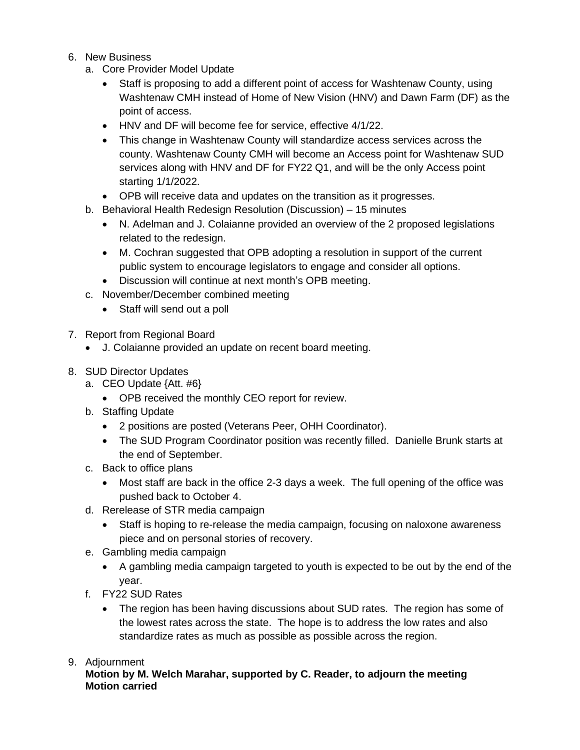- 6. New Business
	- a. Core Provider Model Update
		- Staff is proposing to add a different point of access for Washtenaw County, using Washtenaw CMH instead of Home of New Vision (HNV) and Dawn Farm (DF) as the point of access.
		- HNV and DF will become fee for service, effective 4/1/22.
		- This change in Washtenaw County will standardize access services across the county. Washtenaw County CMH will become an Access point for Washtenaw SUD services along with HNV and DF for FY22 Q1, and will be the only Access point starting 1/1/2022.
		- OPB will receive data and updates on the transition as it progresses.
	- b. Behavioral Health Redesign Resolution (Discussion) 15 minutes
		- N. Adelman and J. Colaianne provided an overview of the 2 proposed legislations related to the redesign.
		- M. Cochran suggested that OPB adopting a resolution in support of the current public system to encourage legislators to engage and consider all options.
		- Discussion will continue at next month's OPB meeting.
	- c. November/December combined meeting
		- Staff will send out a poll
- 7. Report from Regional Board
	- J. Colaianne provided an update on recent board meeting.
- 8. SUD Director Updates
	- a. CEO Update {Att. #6}
		- OPB received the monthly CEO report for review.
	- b. Staffing Update
		- 2 positions are posted (Veterans Peer, OHH Coordinator).
		- The SUD Program Coordinator position was recently filled. Danielle Brunk starts at the end of September.
	- c. Back to office plans
		- Most staff are back in the office 2-3 days a week. The full opening of the office was pushed back to October 4.
	- d. Rerelease of STR media campaign
		- Staff is hoping to re-release the media campaign, focusing on naloxone awareness piece and on personal stories of recovery.
	- e. Gambling media campaign
		- A gambling media campaign targeted to youth is expected to be out by the end of the year.
	- f. FY22 SUD Rates
		- The region has been having discussions about SUD rates. The region has some of the lowest rates across the state. The hope is to address the low rates and also standardize rates as much as possible as possible across the region.

## 9. Adjournment

**Motion by M. Welch Marahar, supported by C. Reader, to adjourn the meeting Motion carried**